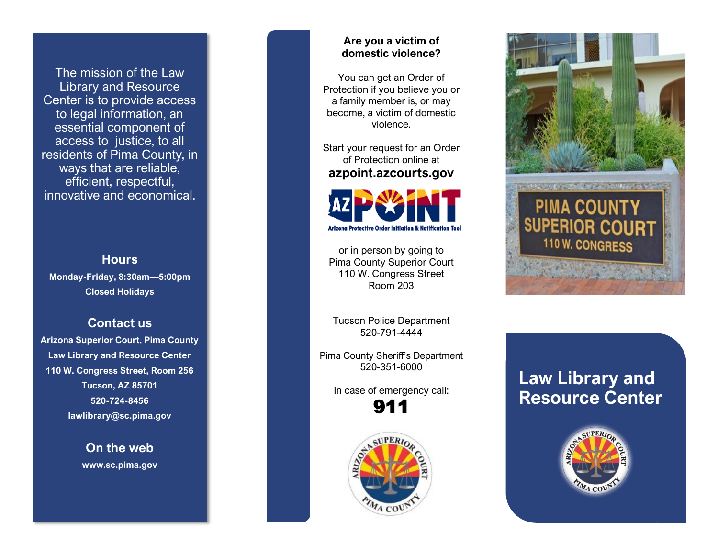The mission of the Law Library and Resource Center is to provide access to legal information, an essential component of access to justice, to all residents of Pima County, in ways that are reliable, efficient, respectful, innovative and economical.

#### **Hours**

**Monday-Friday, 8:30am—5:00pm Closed Holidays** 

## **Contact us**

**Arizona Superior Court, Pima County Law Library and Resource Center 110 W. Congress Street, Room 256 Tucson, AZ 85701 520-724-8456 lawlibrary@sc.pima.gov** 

> **On the web www.sc.pima.gov**

#### **Are you a victim of domestic violence?**

You can get an Order of Protection if you believe you or a family member is, or may become, a victim of domestic violence.

Start your request for an Order of Protection online at **azpoint.azcourts.gov**



or in person by going to Pima County Superior Court 110 W. Congress Street Room 203

Tucson Police Department 520-791-4444

Pima County Sheriff's Department 520-351-6000

> In case of emergency call: 911





# **Law Library and Resource Center**